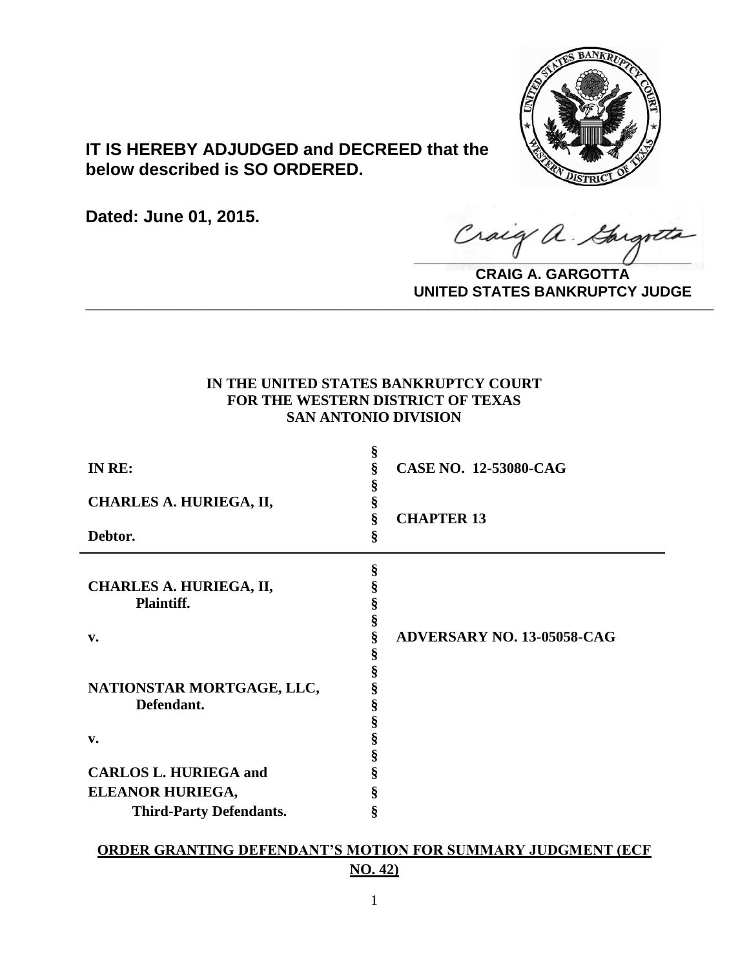

# **IT IS HEREBY ADJUDGED and DECREED that the below described is SO ORDERED.**

**Dated: June 01, 2015.**

Craig a Gargo

**CRAIG A. GARGOTTA UNITED STATES BANKRUPTCY JUDGE PRITED DIATED BARRACT TOT 00DCE** 

## **IN THE UNITED STATES BANKRUPTCY COURT FOR THE WESTERN DISTRICT OF TEXAS SAN ANTONIO DIVISION**

| IN RE:                         | §<br>ş<br>S | <b>CASE NO. 12-53080-CAG</b> |
|--------------------------------|-------------|------------------------------|
| CHARLES A. HURIEGA, II,        | §           |                              |
| Debtor.                        | §<br>§      | <b>CHAPTER 13</b>            |
|                                |             |                              |
|                                | §           |                              |
| CHARLES A. HURIEGA, II,        |             |                              |
| Plaintiff.                     |             |                              |
|                                | §           |                              |
| v.                             | §           | ADVERSARY NO. 13-05058-CAG   |
|                                | \$          |                              |
|                                | Š           |                              |
| NATIONSTAR MORTGAGE, LLC,      | §           |                              |
| Defendant.                     | §           |                              |
|                                | §           |                              |
| v.                             | §           |                              |
|                                | §           |                              |
| <b>CARLOS L. HURIEGA and</b>   | 8           |                              |
| ELEANOR HURIEGA,               | ş           |                              |
| <b>Third-Party Defendants.</b> | §           |                              |
|                                |             |                              |

## **ORDER GRANTING DEFENDANT'S MOTION FOR SUMMARY JUDGMENT (ECF NO. 42)**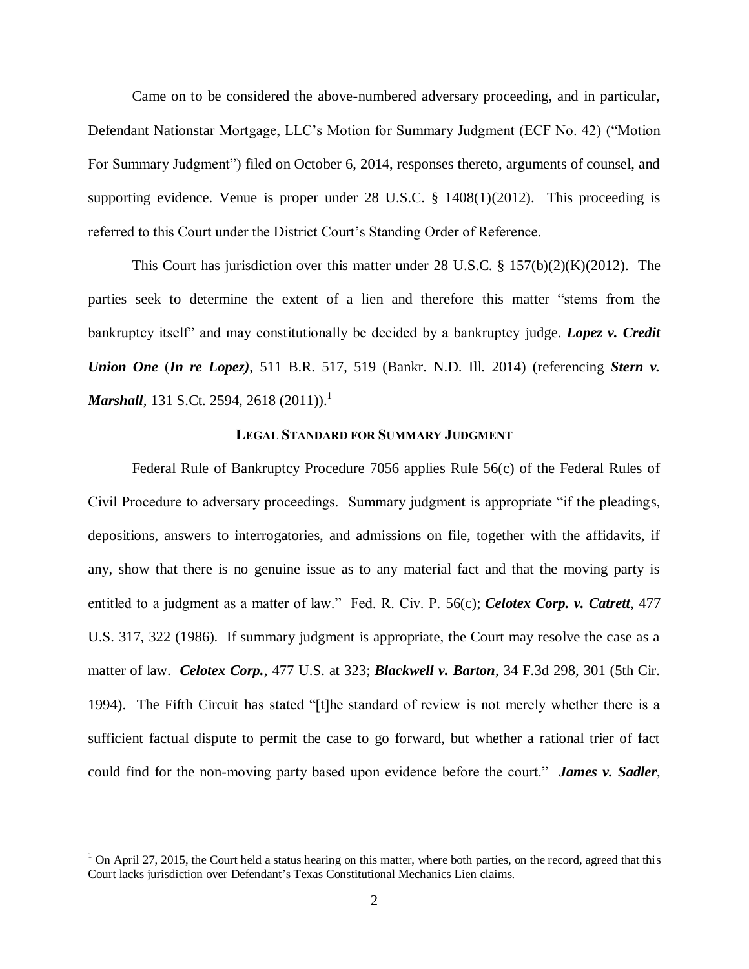Came on to be considered the above-numbered adversary proceeding, and in particular, Defendant Nationstar Mortgage, LLC's Motion for Summary Judgment (ECF No. 42) ("Motion For Summary Judgment") filed on October 6, 2014, responses thereto, arguments of counsel, and supporting evidence. Venue is proper under 28 U.S.C.  $\S$  1408(1)(2012). This proceeding is referred to this Court under the District Court's Standing Order of Reference.

This Court has jurisdiction over this matter under 28 U.S.C. § 157(b)(2)(K)(2012). The parties seek to determine the extent of a lien and therefore this matter "stems from the bankruptcy itself" and may constitutionally be decided by a bankruptcy judge. *Lopez v. Credit Union One* (*In re Lopez)*, 511 B.R. 517, 519 (Bankr. N.D. Ill. 2014) (referencing *Stern v. Marshall*, 131 S.Ct. 2594, 2618 (2011)).<sup>1</sup>

## **LEGAL STANDARD FOR SUMMARY JUDGMENT**

Federal Rule of Bankruptcy Procedure 7056 applies Rule 56(c) of the Federal Rules of Civil Procedure to adversary proceedings. Summary judgment is appropriate "if the pleadings, depositions, answers to interrogatories, and admissions on file, together with the affidavits, if any, show that there is no genuine issue as to any material fact and that the moving party is entitled to a judgment as a matter of law." Fed. R. Civ. P. 56(c); *Celotex Corp. v. Catrett*, 477 U.S. 317, 322 (1986). If summary judgment is appropriate, the Court may resolve the case as a matter of law. *Celotex Corp.*, 477 U.S. at 323; *Blackwell v. Barton*, 34 F.3d 298, 301 (5th Cir. 1994). The Fifth Circuit has stated "[t]he standard of review is not merely whether there is a sufficient factual dispute to permit the case to go forward, but whether a rational trier of fact could find for the non-moving party based upon evidence before the court." *James v. Sadler*,

 $1$  On April 27, 2015, the Court held a status hearing on this matter, where both parties, on the record, agreed that this Court lacks jurisdiction over Defendant's Texas Constitutional Mechanics Lien claims.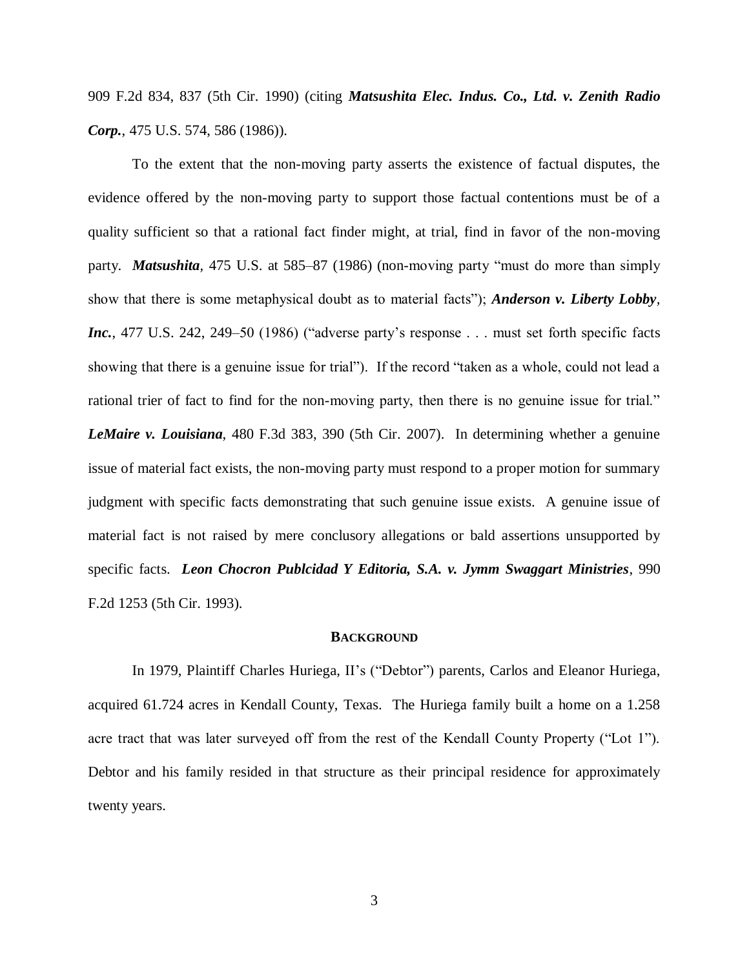909 F.2d 834, 837 (5th Cir. 1990) (citing *Matsushita Elec. Indus. Co., Ltd. v. Zenith Radio Corp.*, 475 U.S. 574, 586 (1986)).

To the extent that the non-moving party asserts the existence of factual disputes, the evidence offered by the non-moving party to support those factual contentions must be of a quality sufficient so that a rational fact finder might, at trial, find in favor of the non-moving party. *Matsushita,* 475 U.S. at 585–87 (1986) (non-moving party "must do more than simply show that there is some metaphysical doubt as to material facts"); *Anderson v. Liberty Lobby, Inc.*, 477 U.S. 242, 249–50 (1986) ("adverse party's response . . . must set forth specific facts showing that there is a genuine issue for trial"). If the record "taken as a whole, could not lead a rational trier of fact to find for the non-moving party, then there is no genuine issue for trial." *LeMaire v. Louisiana*, 480 F.3d 383, 390 (5th Cir. 2007). In determining whether a genuine issue of material fact exists, the non-moving party must respond to a proper motion for summary judgment with specific facts demonstrating that such genuine issue exists. A genuine issue of material fact is not raised by mere conclusory allegations or bald assertions unsupported by specific facts. *Leon Chocron Publcidad Y Editoria, S.A. v. Jymm Swaggart Ministries*, 990 F.2d 1253 (5th Cir. 1993).

#### **BACKGROUND**

In 1979, Plaintiff Charles Huriega, II's ("Debtor") parents, Carlos and Eleanor Huriega, acquired 61.724 acres in Kendall County, Texas. The Huriega family built a home on a 1.258 acre tract that was later surveyed off from the rest of the Kendall County Property ("Lot 1"). Debtor and his family resided in that structure as their principal residence for approximately twenty years.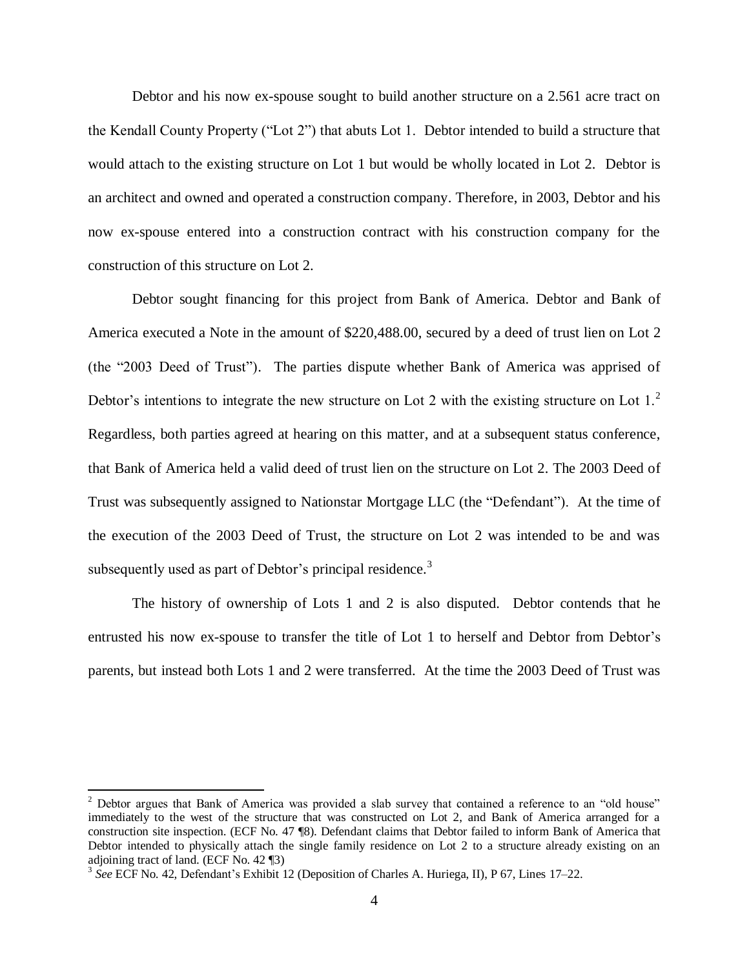Debtor and his now ex-spouse sought to build another structure on a 2.561 acre tract on the Kendall County Property ("Lot 2") that abuts Lot 1. Debtor intended to build a structure that would attach to the existing structure on Lot 1 but would be wholly located in Lot 2. Debtor is an architect and owned and operated a construction company. Therefore, in 2003, Debtor and his now ex-spouse entered into a construction contract with his construction company for the construction of this structure on Lot 2.

Debtor sought financing for this project from Bank of America. Debtor and Bank of America executed a Note in the amount of \$220,488.00, secured by a deed of trust lien on Lot 2 (the "2003 Deed of Trust"). The parties dispute whether Bank of America was apprised of Debtor's intentions to integrate the new structure on Lot 2 with the existing structure on Lot  $1<sup>2</sup>$ Regardless, both parties agreed at hearing on this matter, and at a subsequent status conference, that Bank of America held a valid deed of trust lien on the structure on Lot 2. The 2003 Deed of Trust was subsequently assigned to Nationstar Mortgage LLC (the "Defendant"). At the time of the execution of the 2003 Deed of Trust, the structure on Lot 2 was intended to be and was subsequently used as part of Debtor's principal residence.<sup>3</sup>

The history of ownership of Lots 1 and 2 is also disputed. Debtor contends that he entrusted his now ex-spouse to transfer the title of Lot 1 to herself and Debtor from Debtor's parents, but instead both Lots 1 and 2 were transferred. At the time the 2003 Deed of Trust was

 $\overline{\phantom{a}}$ 

 $2$  Debtor argues that Bank of America was provided a slab survey that contained a reference to an "old house" immediately to the west of the structure that was constructed on Lot 2, and Bank of America arranged for a construction site inspection. (ECF No. 47 ¶8). Defendant claims that Debtor failed to inform Bank of America that Debtor intended to physically attach the single family residence on Lot 2 to a structure already existing on an adjoining tract of land. (ECF No. 42 ¶3)

<sup>3</sup> *See* ECF No. 42, Defendant's Exhibit 12 (Deposition of Charles A. Huriega, II), P 67, Lines 17–22.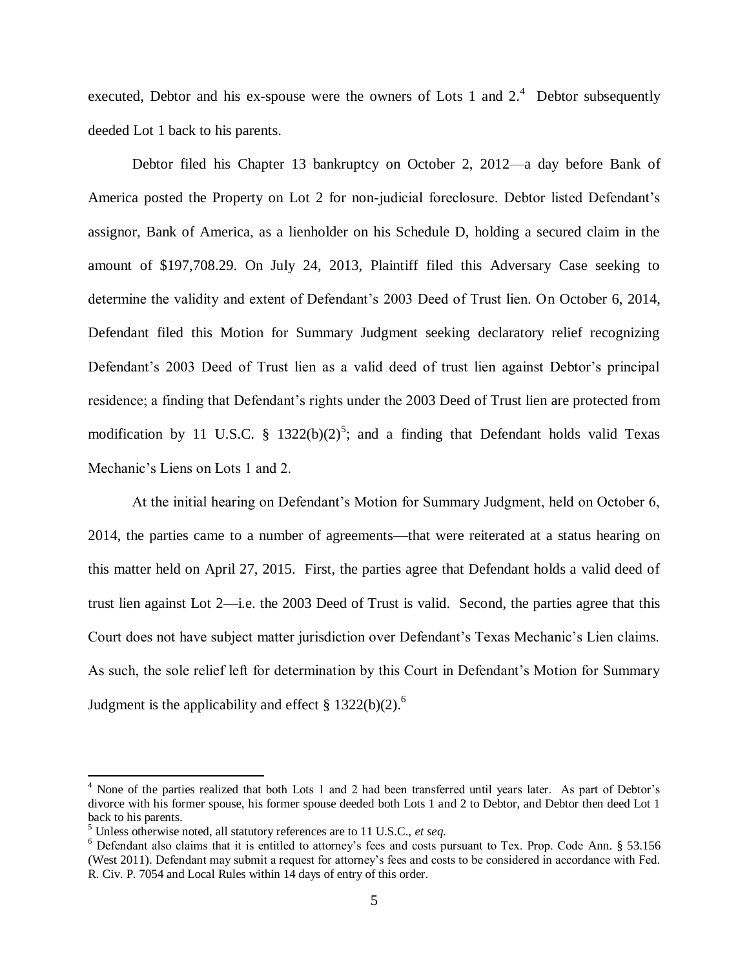executed. Debtor and his ex-spouse were the owners of Lots 1 and  $2<sup>4</sup>$  Debtor subsequently deeded Lot 1 back to his parents.

Debtor filed his Chapter 13 bankruptcy on October 2, 2012—a day before Bank of America posted the Property on Lot 2 for non-judicial foreclosure. Debtor listed Defendant's assignor, Bank of America, as a lienholder on his Schedule D, holding a secured claim in the amount of \$197,708.29. On July 24, 2013, Plaintiff filed this Adversary Case seeking to determine the validity and extent of Defendant's 2003 Deed of Trust lien. On October 6, 2014, Defendant filed this Motion for Summary Judgment seeking declaratory relief recognizing Defendant's 2003 Deed of Trust lien as a valid deed of trust lien against Debtor's principal residence; a finding that Defendant's rights under the 2003 Deed of Trust lien are protected from modification by 11 U.S.C. § 1322(b)(2)<sup>5</sup>; and a finding that Defendant holds valid Texas Mechanic's Liens on Lots 1 and 2.

At the initial hearing on Defendant's Motion for Summary Judgment, held on October 6, 2014, the parties came to a number of agreements—that were reiterated at a status hearing on this matter held on April 27, 2015. First, the parties agree that Defendant holds a valid deed of trust lien against Lot 2—i.e. the 2003 Deed of Trust is valid. Second, the parties agree that this Court does not have subject matter jurisdiction over Defendant's Texas Mechanic's Lien claims. As such, the sole relief left for determination by this Court in Defendant's Motion for Summary Judgment is the applicability and effect  $\S$  1322(b)(2).<sup>6</sup>

<sup>4</sup> None of the parties realized that both Lots 1 and 2 had been transferred until years later. As part of Debtor's divorce with his former spouse, his former spouse deeded both Lots 1 and 2 to Debtor, and Debtor then deed Lot 1 back to his parents.

<sup>5</sup> Unless otherwise noted, all statutory references are to 11 U.S.C., *et seq*.

<sup>6</sup> Defendant also claims that it is entitled to attorney's fees and costs pursuant to Tex. Prop. Code Ann. § 53.156 (West 2011). Defendant may submit a request for attorney's fees and costs to be considered in accordance with Fed. R. Civ. P. 7054 and Local Rules within 14 days of entry of this order.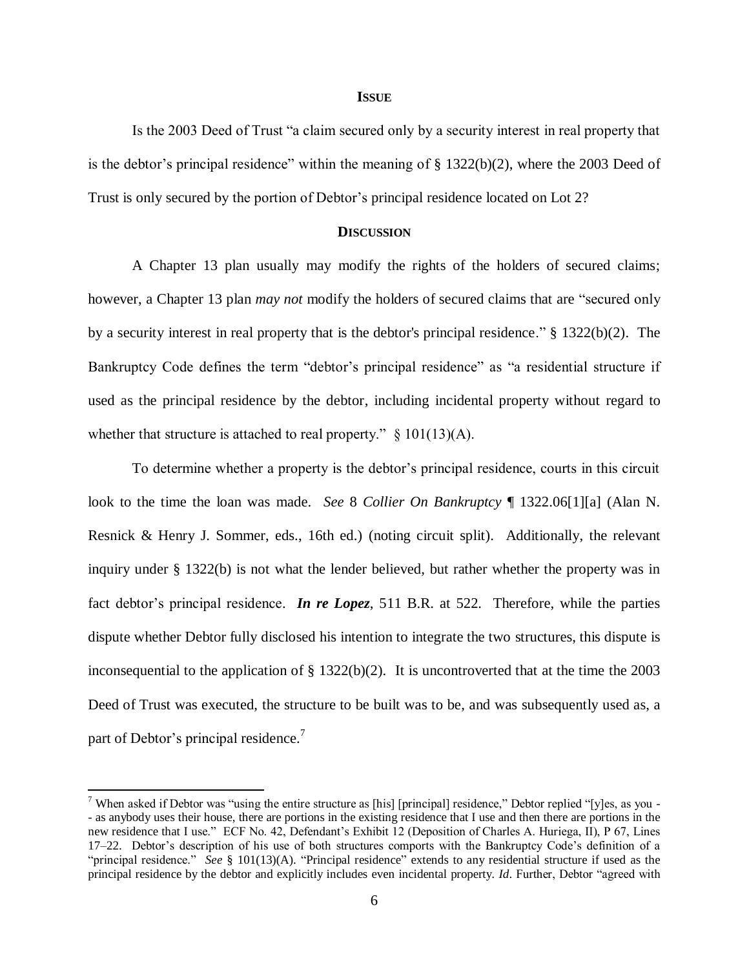### **ISSUE**

Is the 2003 Deed of Trust "a claim secured only by a security interest in real property that is the debtor's principal residence" within the meaning of § 1322(b)(2), where the 2003 Deed of Trust is only secured by the portion of Debtor's principal residence located on Lot 2?

## **DISCUSSION**

 A Chapter 13 plan usually may modify the rights of the holders of secured claims; however, a Chapter 13 plan *may not* modify the holders of secured claims that are "secured only by a security interest in real property that is the debtor's principal residence." § 1322(b)(2). The Bankruptcy Code defines the term "debtor's principal residence" as "a residential structure if used as the principal residence by the debtor, including incidental property without regard to whether that structure is attached to real property."  $\S$  101(13)(A).

To determine whether a property is the debtor's principal residence, courts in this circuit look to the time the loan was made. *See* 8 *Collier On Bankruptcy* ¶ 1322.06[1][a] (Alan N. Resnick & Henry J. Sommer, eds., 16th ed.) (noting circuit split). Additionally, the relevant inquiry under § 1322(b) is not what the lender believed, but rather whether the property was in fact debtor's principal residence. *In re Lopez*, 511 B.R. at 522. Therefore, while the parties dispute whether Debtor fully disclosed his intention to integrate the two structures, this dispute is inconsequential to the application of  $\S$  1322(b)(2). It is uncontroverted that at the time the 2003 Deed of Trust was executed, the structure to be built was to be, and was subsequently used as, a part of Debtor's principal residence.<sup>7</sup>

 $\overline{\phantom{a}}$ 

<sup>&</sup>lt;sup>7</sup> When asked if Debtor was "using the entire structure as [his] [principal] residence," Debtor replied "[y]es, as you -- as anybody uses their house, there are portions in the existing residence that I use and then there are portions in the new residence that I use." ECF No. 42, Defendant's Exhibit 12 (Deposition of Charles A. Huriega, II), P 67, Lines 17–22. Debtor's description of his use of both structures comports with the Bankruptcy Code's definition of a "principal residence." *See* § 101(13)(A). "Principal residence" extends to any residential structure if used as the principal residence by the debtor and explicitly includes even incidental property. *Id*. Further, Debtor "agreed with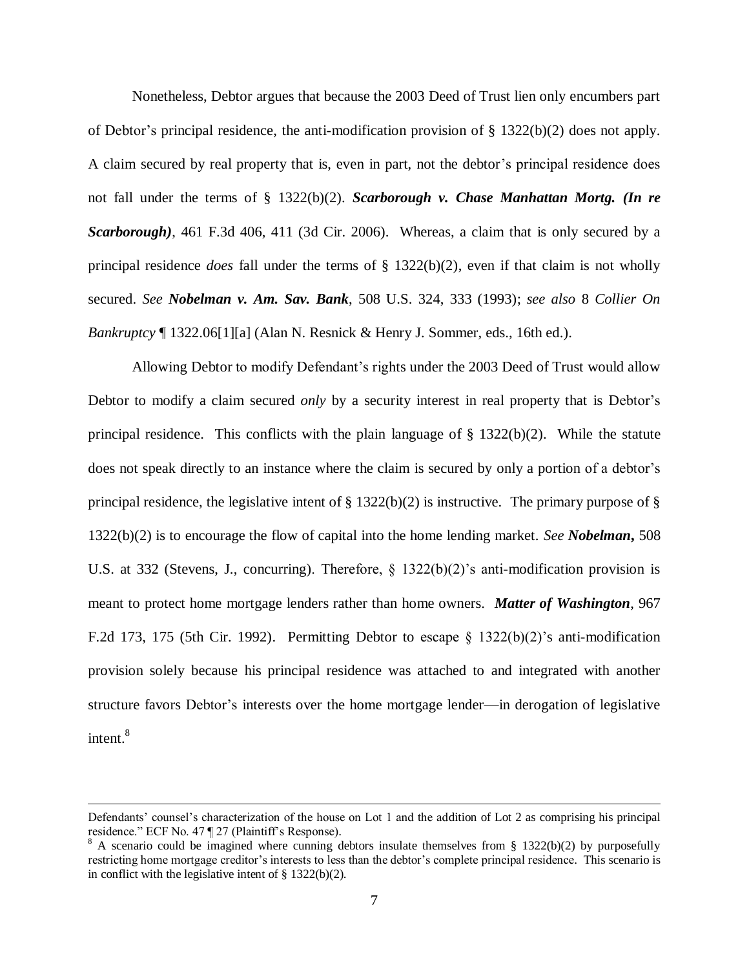Nonetheless, Debtor argues that because the 2003 Deed of Trust lien only encumbers part of Debtor's principal residence, the anti-modification provision of  $\S$  1322(b)(2) does not apply. A claim secured by real property that is, even in part, not the debtor's principal residence does not fall under the terms of § 1322(b)(2). *Scarborough v. Chase Manhattan Mortg. (In re Scarborough)*, 461 F.3d 406, 411 (3d Cir. 2006). Whereas, a claim that is only secured by a principal residence *does* fall under the terms of § 1322(b)(2), even if that claim is not wholly secured. *See Nobelman v. Am. Sav. Bank*, 508 U.S. 324, 333 (1993); *see also* 8 *Collier On Bankruptcy* ¶ 1322.06[1][a] (Alan N. Resnick & Henry J. Sommer, eds., 16th ed.).

Allowing Debtor to modify Defendant's rights under the 2003 Deed of Trust would allow Debtor to modify a claim secured *only* by a security interest in real property that is Debtor's principal residence. This conflicts with the plain language of  $\S$  1322(b)(2). While the statute does not speak directly to an instance where the claim is secured by only a portion of a debtor's principal residence, the legislative intent of § 1322(b)(2) is instructive. The primary purpose of § 1322(b)(2) is to encourage the flow of capital into the home lending market. *See Nobelman***,** 508 U.S. at 332 (Stevens, J., concurring). Therefore, § 1322(b)(2)'s anti-modification provision is meant to protect home mortgage lenders rather than home owners. *Matter of Washington*, 967 F.2d 173, 175 (5th Cir. 1992). Permitting Debtor to escape  $\S$  1322(b)(2)'s anti-modification provision solely because his principal residence was attached to and integrated with another structure favors Debtor's interests over the home mortgage lender—in derogation of legislative intent.<sup>8</sup>

 $\overline{\phantom{a}}$ 

Defendants' counsel's characterization of the house on Lot 1 and the addition of Lot 2 as comprising his principal residence." ECF No. 47 ¶ 27 (Plaintiff's Response).

<sup>&</sup>lt;sup>8</sup> A scenario could be imagined where cunning debtors insulate themselves from § 1322(b)(2) by purposefully restricting home mortgage creditor's interests to less than the debtor's complete principal residence. This scenario is in conflict with the legislative intent of  $\S$  1322(b)(2).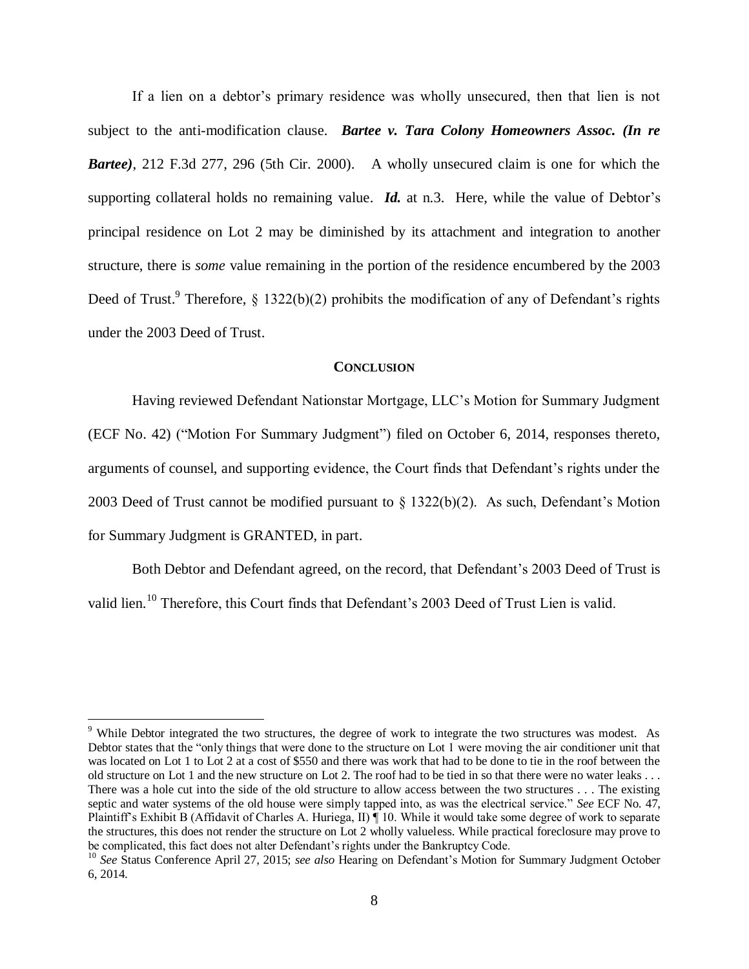If a lien on a debtor's primary residence was wholly unsecured, then that lien is not subject to the anti-modification clause. *Bartee v. Tara Colony Homeowners Assoc. (In re Bartee)*, 212 F.3d 277, 296 (5th Cir. 2000). A wholly unsecured claim is one for which the supporting collateral holds no remaining value. *Id.* at n.3. Here, while the value of Debtor's principal residence on Lot 2 may be diminished by its attachment and integration to another structure, there is *some* value remaining in the portion of the residence encumbered by the 2003 Deed of Trust.<sup>9</sup> Therefore, § 1322(b)(2) prohibits the modification of any of Defendant's rights under the 2003 Deed of Trust.

### **CONCLUSION**

Having reviewed Defendant Nationstar Mortgage, LLC's Motion for Summary Judgment (ECF No. 42) ("Motion For Summary Judgment") filed on October 6, 2014, responses thereto, arguments of counsel, and supporting evidence, the Court finds that Defendant's rights under the 2003 Deed of Trust cannot be modified pursuant to § 1322(b)(2). As such, Defendant's Motion for Summary Judgment is GRANTED, in part.

Both Debtor and Defendant agreed, on the record, that Defendant's 2003 Deed of Trust is valid lien.<sup>10</sup> Therefore, this Court finds that Defendant's 2003 Deed of Trust Lien is valid.

<sup>&</sup>lt;sup>9</sup> While Debtor integrated the two structures, the degree of work to integrate the two structures was modest. As Debtor states that the "only things that were done to the structure on Lot 1 were moving the air conditioner unit that was located on Lot 1 to Lot 2 at a cost of \$550 and there was work that had to be done to tie in the roof between the old structure on Lot 1 and the new structure on Lot 2. The roof had to be tied in so that there were no water leaks . . . There was a hole cut into the side of the old structure to allow access between the two structures . . . The existing septic and water systems of the old house were simply tapped into, as was the electrical service." *See* ECF No. 47, Plaintiff's Exhibit B (Affidavit of Charles A. Huriega, II) ¶ 10. While it would take some degree of work to separate the structures, this does not render the structure on Lot 2 wholly valueless. While practical foreclosure may prove to be complicated, this fact does not alter Defendant's rights under the Bankruptcy Code.

<sup>10</sup> *See* Status Conference April 27, 2015; *see also* Hearing on Defendant's Motion for Summary Judgment October 6, 2014.